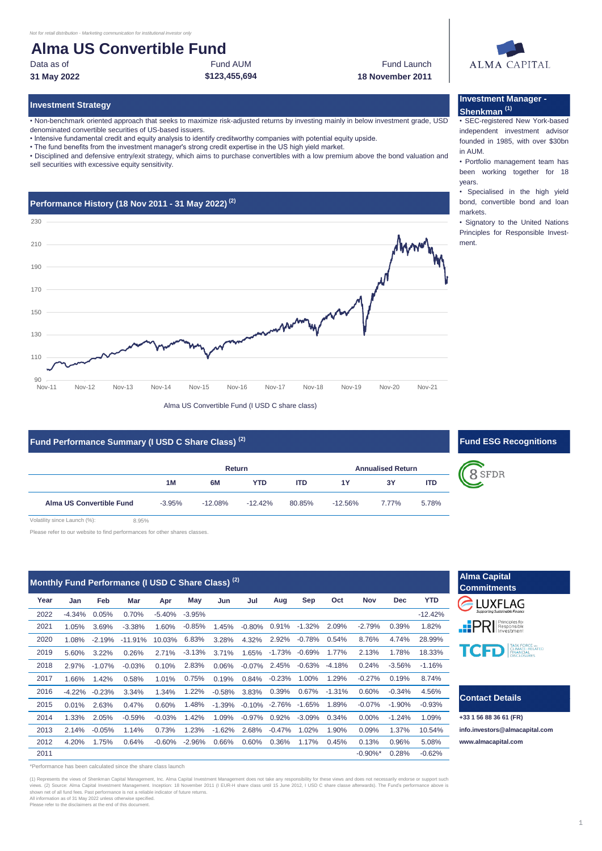# **Alma US Convertible Fund**

Data as of **Fund AUM** Fund AUM **Fund AUM** Fund Launch **31 May 2022 \$123,455,694 18 November 2011**

#### **Investment Strategy**

• Non-benchmark oriented approach that seeks to maximize risk-adjusted returns by investing mainly in below investment grade, USD denominated convertible securities of US-based issuers.

• Intensive fundamental credit and equity analysis to identify creditworthy companies with potential equity upside.

• The fund benefits from the investment manager's strong credit expertise in the US high yield market.

• Disciplined and defensive entry/exit strategy, which aims to purchase convertibles with a low premium above the bond valuation and sell securities with excessive equity sensitivity.

# **Performance History (18 Nov 2011 - 31 May 2022) (2)**  $90$ 110 130 150 170 190 210 230 Nov-11 Nov-12 Nov-13 Nov-14 Nov-15 Nov-16 Nov-17 Nov-18 Nov-19 Nov-20 Nov-21 Alma US Convertible Fund (I USD C share class)

# **Fund Performance Summary (I USD C Share Class)**<sup>(2)</sup> **Example 20 and 20 and 20 and 20 and 20 and 20 and 20 and 20 and 20 and 20 and 20 and 20 and 20 and 20 and 20 and 20 and 20 and 20 and 20 and 20 and 20 and 20 and 20 an**

|                                                     |          | Return     |            |            |            | <b>Annualised Return</b> |            |  |
|-----------------------------------------------------|----------|------------|------------|------------|------------|--------------------------|------------|--|
|                                                     | 1M       | 6M         | <b>YTD</b> | <b>ITD</b> | 1Y         | 3Υ                       | <b>ITD</b> |  |
| Alma US Convertible Fund                            | $-3.95%$ | $-12.08\%$ | $-12.42\%$ | 80.85%     | $-12.56\%$ | 7.77%                    | 5.78%      |  |
| Volatility since Launch (%):<br>$R$ Q <sub>5%</sub> |          |            |            |            |            |                          |            |  |

Please refer to our website to find performances for other shares classes.

|      |          |           | Monthly Fund Performance (I USD C Share Class) <sup>(2)</sup> |          |          |          |          |          |          |          |                        |            |            |
|------|----------|-----------|---------------------------------------------------------------|----------|----------|----------|----------|----------|----------|----------|------------------------|------------|------------|
| Year | Jan      | Feb       | Mar                                                           | Apr      | May      | Jun      | Jul      | Aug      | Sep      | Oct      | <b>Nov</b>             | <b>Dec</b> | <b>YTD</b> |
| 2022 | $-4.34%$ | 0.05%     | 0.70%                                                         | $-5.40%$ | $-3.95%$ |          |          |          |          |          |                        |            | $-12.42%$  |
| 2021 | 1.05%    | 3.69%     | $-3.38%$                                                      | 1.60%    | $-0.85%$ | 1.45%    | $-0.80%$ | 0.91%    | $-1.32%$ | 2.09%    | $-2.79%$               | 0.39%      | 1.82%      |
| 2020 | 1.08%    | $-2.19%$  | $-11.91%$                                                     | 10.03%   | 6.83%    | 3.28%    | 4.32%    | 2.92%    | $-0.78%$ | 0.54%    | 8.76%                  | 4.74%      | 28.99%     |
| 2019 | 5.60%    | 3.22%     | 0.26%                                                         | 2.71%    | $-3.13%$ | 3.71%    | 1.65%    | $-1.73%$ | $-0.69%$ | 1.77%    | 2.13%                  | 1.78%      | 18.33%     |
| 2018 | 2.97%    | $-1.07\%$ | $-0.03%$                                                      | 0.10%    | 2.83%    | 0.06%    | $-0.07%$ | 2.45%    | $-0.63%$ | $-4.18%$ | 0.24%                  | $-3.56%$   | $-1.16%$   |
| 2017 | 1.66%    | 1.42%     | 0.58%                                                         | 1.01%    | 0.75%    | 0.19%    | 0.84%    | $-0.23%$ | 1.00%    | 1.29%    | $-0.27%$               | 0.19%      | 8.74%      |
| 2016 | $-4.22%$ | $-0.23%$  | 3.34%                                                         | 1.34%    | 1.22%    | $-0.58%$ | 3.83%    | 0.39%    | 0.67%    | $-1.31%$ | 0.60%                  | $-0.34%$   | 4.56%      |
| 2015 | 0.01%    | 2.63%     | 0.47%                                                         | 0.60%    | 1.48%    | $-1.39%$ | $-0.10%$ | $-2.76%$ | $-1.65%$ | 1.89%    | $-0.07%$               | $-1.90%$   | $-0.93%$   |
| 2014 | 1.33%    | 2.05%     | $-0.59%$                                                      | $-0.03%$ | 1.42%    | 1.09%    | $-0.97%$ | 0.92%    | $-3.09%$ | 0.34%    | 0.00%                  | $-1.24%$   | 1.09%      |
| 2013 | 2.14%    | $-0.05%$  | 1.14%                                                         | 0.73%    | 1.23%    | $-1.62%$ | 2.68%    | $-0.47%$ | 1.02%    | 1.90%    | 0.09%                  | 1.37%      | 10.54%     |
| 2012 | 4.20%    | 1.75%     | 0.64%                                                         | $-0.60%$ | $-2.96%$ | 0.66%    | 0.60%    | 0.36%    | 1.17%    | 0.45%    | 0.13%                  | 0.96%      | 5.08%      |
| 2011 |          |           |                                                               |          |          |          |          |          |          |          | $-0.90\%$ <sup>*</sup> | 0.28%      | $-0.62%$   |

\*Performance has been calculated since the share class launch

(1) Represents the views of Shenkman Capital Management, Inc. Alma Capital Investment Management does not take any responsibility for these views and does not necessarily endorse or support such<br>views. (2) Source: Alma Cap All information as of 31 May 2022 unless otherwise specified.

ase refer to the disclaimers at the end of this document.

### **Investment Manager - Shenkman (1)** • SEC-registered New York-based

independent investment advisor founded in 1985, with over \$30bn in AUM.

• Portfolio management team has been working together for 18 years.

• Specialised in the high yield bond, convertible bond and loan markets.

• Signatory to the United Nations Principles for Responsible Investment.

8 SFDR

**Alma Capital** 



# **Contact Details**

**+33 1 56 88 36 61 (FR) [info.in](mailto:info.investors@almacapital.com)vestors@almacapital.com [www.](http://www.almacapital.com/)almacapital.com**

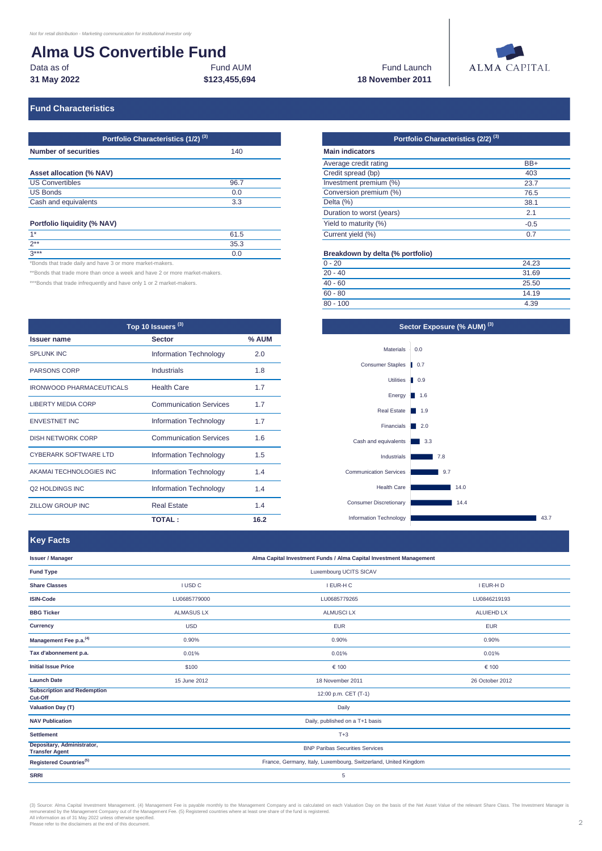# **Alma US Convertible Fund**

| Data as of  | Fund AUM      | <b>Fund Launch</b> |
|-------------|---------------|--------------------|
| 31 May 2022 | \$123.455.694 | 18 November 2011   |

# **\$123,455,694 18 November 2011**

# **ALMA CAPITAL**

# **Fund Characteristics**

| Portfolio Characteristics (1/2) <sup>(3)</sup> |      |  |  |  |
|------------------------------------------------|------|--|--|--|
| <b>Number of securities</b>                    | 140  |  |  |  |
| Asset allocation (% NAV)                       |      |  |  |  |
| <b>US Convertibles</b>                         | 96.7 |  |  |  |
| <b>US Bonds</b>                                | 0.0  |  |  |  |
| Cash and equivalents                           | 3.3  |  |  |  |

#### **Portfolio liquidity (% NAV)**

| $\ldots$ . $\ldots$ . $\ldots$ . $\ldots$ . $\ldots$ . $\ldots$ |      |  |  |
|-----------------------------------------------------------------|------|--|--|
| $4*$                                                            | 61.5 |  |  |
| $2***$                                                          | 35.3 |  |  |
| $3***$                                                          |      |  |  |

\*Bonds that trade daily and have 3 or more market-makers.

\*\*Bonds that trade more than once a week and have 2 or more market-makers.

\*\*\*Bonds that trade infrequently and have only 1 or 2 market-makers.

| Top 10 Issuers <sup>(3)</sup>   |                               |       |  |
|---------------------------------|-------------------------------|-------|--|
| <b>Issuer name</b>              | <b>Sector</b>                 | % AUM |  |
| <b>SPLUNK INC</b>               | Information Technology        | 2.0   |  |
| <b>PARSONS CORP</b>             | Industrials                   | 1.8   |  |
| <b>IRONWOOD PHARMACEUTICALS</b> | <b>Health Care</b>            | 1.7   |  |
| <b>LIBERTY MEDIA CORP</b>       | <b>Communication Services</b> | 1.7   |  |
| <b>ENVESTNET INC</b>            | Information Technology        | 1.7   |  |
| <b>DISH NETWORK CORP</b>        | <b>Communication Services</b> | 16    |  |
| <b>CYBERARK SOFTWARE LTD</b>    | Information Technology        | 1.5   |  |
| AKAMAI TECHNOLOGIES INC         | Information Technology        | 1.4   |  |
| Q2 HOLDINGS INC                 | Information Technology        | 1.4   |  |
| ZILLOW GROUP INC                | <b>Real Estate</b>            | 1.4   |  |
|                                 | <b>TOTAL:</b>                 | 16.2  |  |

# **Portfolio Characteristics (2/2) (3) Portfolio Characteristics (1/2) (3)**

| <b>Main indicators</b>    |        |
|---------------------------|--------|
| Average credit rating     | BB+    |
| Credit spread (bp)        | 403    |
| Investment premium (%)    | 23.7   |
| Conversion premium (%)    | 76.5   |
| Delta (%)                 | 38.1   |
| Duration to worst (years) | 2.1    |
| Yield to maturity (%)     | $-0.5$ |
| Current yield (%)         | 0.7    |

#### **Breakdown by delta (% portfolio)**

| $0 - 20$   | 24.23 |
|------------|-------|
| $20 - 40$  | 31.69 |
| $40 - 60$  | 25.50 |
| $60 - 80$  | 14.19 |
| $80 - 100$ | 4.39  |



**Key Facts**

| Antull Whellinghallated                             |                                                                    |                                                                 |                   |  |
|-----------------------------------------------------|--------------------------------------------------------------------|-----------------------------------------------------------------|-------------------|--|
| <b>Issuer / Manager</b>                             | Alma Capital Investment Funds / Alma Capital Investment Management |                                                                 |                   |  |
| <b>Fund Type</b>                                    |                                                                    | Luxembourg UCITS SICAV                                          |                   |  |
| <b>Share Classes</b>                                | I USD C                                                            | I EUR-H C                                                       | I EUR-H D         |  |
| <b>ISIN-Code</b>                                    | LU0685779000                                                       | LU0685779265                                                    | LU0846219193      |  |
| <b>BBG Ticker</b>                                   | <b>ALMASUS LX</b>                                                  | <b>ALMUSCILX</b>                                                | <b>ALUIEHD LX</b> |  |
| <b>Currency</b>                                     | <b>USD</b>                                                         | <b>EUR</b>                                                      | <b>EUR</b>        |  |
| Management Fee p.a. <sup>(4)</sup>                  | 0.90%                                                              | 0.90%                                                           | 0.90%             |  |
| Tax d'abonnement p.a.                               | 0.01%                                                              | 0.01%                                                           | 0.01%             |  |
| <b>Initial Issue Price</b>                          | \$100                                                              | € 100                                                           | € 100             |  |
| <b>Launch Date</b>                                  | 15 June 2012                                                       | 18 November 2011                                                | 26 October 2012   |  |
| <b>Subscription and Redemption</b><br>Cut-Off       |                                                                    | 12:00 p.m. CET (T-1)                                            |                   |  |
| <b>Valuation Day (T)</b>                            |                                                                    | Daily                                                           |                   |  |
| <b>NAV Publication</b>                              | Daily, published on a T+1 basis                                    |                                                                 |                   |  |
| <b>Settlement</b>                                   | $T+3$                                                              |                                                                 |                   |  |
| Depositary, Administrator,<br><b>Transfer Agent</b> | <b>BNP Paribas Securities Services</b>                             |                                                                 |                   |  |
| Registered Countries <sup>(5)</sup>                 |                                                                    | France, Germany, Italy, Luxembourg, Switzerland, United Kingdom |                   |  |
| <b>SRRI</b>                                         |                                                                    | 5                                                               |                   |  |

(3) Source: Alma Capital Investment Management. (4) Management Fee is payable monthly to the Management Company and is calculated on each Valuation Day on the basis of the Net Asset Value of the relevant Share Class. The I